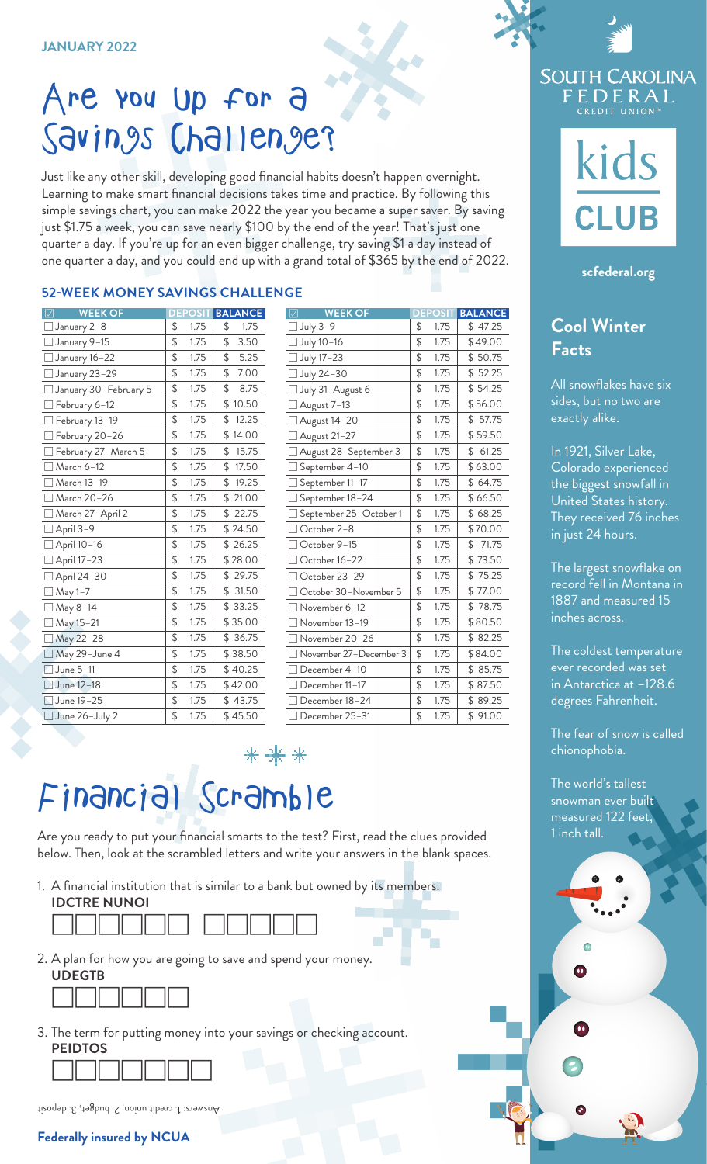# Are You Up for a Savings Challenge?

Just like any other skill, developing good financial habits doesn't happen overnight. Learning to make smart financial decisions takes time and practice. By following this simple savings chart, you can make 2022 the year you became a super saver. By saving just \$1.75 a week, you can save nearly \$100 by the end of the year! That's just one quarter a day. If you're up for an even bigger challenge, try saving \$1 a day instead of one quarter a day, and you could end up with a grand total of \$365 by the end of 2022.

#### **52-WEEK MONEY SAVINGS CHALLENGE**

| <b>WEEK OF</b><br>М   | OSIT<br>DFP | <b>BALANCE</b> | <b>WEEK OF</b><br>$\sqrt{}$ |
|-----------------------|-------------|----------------|-----------------------------|
| January 2-8           | 1.75<br>\$  | 1.75<br>\$     | July 3-9                    |
| January 9-15          | \$<br>1.75  | 3.50<br>\$     | July 10-16                  |
| January 16–22         | \$<br>1.75  | 5.25<br>\$     | July 17-23                  |
| January 23-29         | \$<br>1.75  | 7.00<br>\$     | July 24-30                  |
| January 30-February 5 | \$<br>1.75  | \$<br>8.75     | July 31-August 6            |
| February 6-12         | \$<br>1.75  | \$10.50        | August 7-13                 |
| February 13–19        | \$<br>1.75  | 12.25<br>\$    | August 14-20                |
| February 20-26        | \$<br>1.75  | \$14.00        | August 21-27                |
| February 27-March 5   | 1.75<br>\$  | 15.75<br>\$    | August 28-Septe             |
| March 6-12            | \$<br>1.75  | 17.50<br>\$    | September 4-10              |
| March 13-19           | 1.75<br>\$  | 19.25<br>\$    | September 11-17             |
| March 20-26           | \$<br>1.75  | \$21.00        | September 18-24             |
| March 27-April 2      | 1.75<br>\$  | \$22.75        | September 25-C              |
| April 3-9             | 1.75<br>\$  | \$24.50        | October 2-8                 |
| April 10-16           | \$<br>1.75  | \$26.25        | October 9-15                |
| April 17-23           | 1.75<br>\$  | \$28.00        | October 16-22               |
| April 24-30           | \$<br>1.75  | \$29.75        | October 23-29               |
| May 1-7               | \$<br>1.75  | \$31.50        | October 30-Nov              |
| May 8-14              | 1.75<br>\$  | \$ 33.25       | November 6-12               |
| May 15-21             | \$<br>1.75  | \$35.00        | November 13-19              |
| May 22-28             | \$<br>1.75  | \$ 36.75       | November 20-2               |
| May 29-June 4         | \$<br>1.75  | \$38.50        | November 27-De              |
| June 5-11             | \$<br>1.75  | \$40.25        | December 4-10               |
| June 12-18            | \$<br>1.75  | \$42.00        | December 11-17              |
| June 19-25            | \$<br>1.75  | \$43.75        | December 18-24              |
| June 26-July 2        | \$<br>1.75  | \$45.50        | December 25–31              |

| <b>WEEK OF</b><br>$\overline{\vee}$ |            | <b>ANCE</b><br>BAI |
|-------------------------------------|------------|--------------------|
| July 3-9                            | \$<br>1.75 | \$47.25            |
| July 10-16                          | \$<br>1.75 | \$49.00            |
| July 17-23                          | \$<br>1.75 | 50.75<br>\$        |
| July 24-30                          | \$<br>1.75 | \$52.25            |
| July 31-August 6                    | \$<br>1.75 | \$54.25            |
| August 7-13                         | \$<br>1.75 | \$56.00            |
| August 14-20                        | \$<br>1.75 | 57.75<br>\$        |
| August 21-27                        | \$<br>1.75 | \$59.50            |
| August 28-September 3               | \$<br>1.75 | 61.25<br>\$        |
| September 4-10                      | \$<br>1.75 | \$63.00            |
| September 11-17                     | \$<br>1.75 | 64.75<br>\$        |
| September 18-24                     | \$<br>1.75 | \$66.50            |
| September 25-October 1              | \$<br>1.75 | \$68.25            |
| October 2-8                         | \$<br>1.75 | \$70.00            |
| October 9-15                        | \$<br>1.75 | 71.75<br>\$        |
| October 16-22                       | \$<br>1.75 | \$73.50            |
| October 23-29                       | \$<br>1.75 | \$75.25            |
| October 30-November 5               | \$<br>1.75 | \$77.00            |
| November 6-12                       | \$<br>1.75 | 78.75<br>\$        |
| November 13-19                      | \$<br>1.75 | \$80.50            |
| November 20-26                      | \$<br>1.75 | \$82.25            |
| November 27-December 3              | \$<br>1.75 | \$84.00            |
| December 4-10                       | \$<br>1.75 | 85.75<br>\$        |
| December 11-17                      | \$<br>1.75 | \$87.50            |
| December 18-24                      | \$<br>1.75 | \$89.25            |
| December 25-31                      | \$<br>1.75 | \$91.00            |

#### **SOUTH CAROLINA** FEDERAL CREDIT UNION

kids CLUB

**[scfederal.org](https://www.scfederal.org/)**

## **Cool Winter Facts**

All snowflakes have six sides, but no two are exactly alike.

In 1921, Silver Lake, Colorado experienced the biggest snowfall in United States history. They received 76 inches in just 24 hours.

The largest snowflake on record fell in Montana in 1887 and measured 15 inches across.

The coldest temperature ever recorded was set in Antarctica at –128.6 degrees Fahrenheit.

The fear of snow is called chionophobia.

The world's tallest snowman ever built measured 122 feet, 1 inch tall.

 $\bullet$ 

 $\bullet$ 

# \*\*\* Financial Scramble

Are you ready to put your financial smarts to the test? First, read the clues provided below. Then, look at the scrambled letters and write your answers in the blank spaces.

1. A financial institution that is similar to a bank but owned by its members. **IDCTRE NUNOI**



2. A plan for how you are going to save and spend your money.

| UD | EGTB |  |
|----|------|--|
|    |      |  |

3. The term for putting money into your savings or checking account. **PEIDTOS**

Answers: 1. credit union, 2. budget, 3. deposit

#### **Federally insured by NCUA**